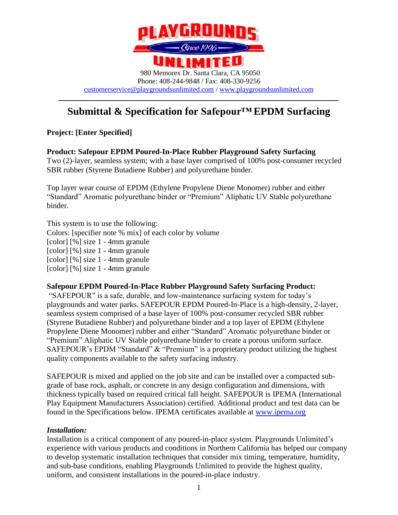

# **–––––––––––––––––––––––––––––––––––––––––––––––––––––– Submittal & Specification for Safepour™ EPDM Surfacing**

#### **Project: [Enter Specified]**

**Product: Safepour EPDM Poured-In-Place Rubber Playground Safety Surfacing** 

Two (2)-layer, seamless system; with a base layer comprised of 100% post-consumer recycled SBR rubber (Styrene Butadiene Rubber) and polyurethane binder.

Top layer wear course of EPDM (Ethylene Propylene Diene Monomer) rubber and either "Standard" Aromatic polyurethane binder or "Premium" Aliphatic UV Stable polyurethane binder.

This system is to use the following: Colors: [specifier note % mix] of each color by volume [color] [%] size 1 - 4mm granule [color] [%] size 1 - 4mm granule [color] [%] size 1 - 4mm granule [color] [%] size 1 - 4mm granule

#### **Safepour EPDM Poured-In-Place Rubber Playground Safety Surfacing Product:**

"SAFEPOUR" is a safe, durable, and low-maintenance surfacing system for today's playgrounds and water parks. SAFEPOUR EPDM Poured-In-Place is a high-density, 2-layer, seamless system comprised of a base layer of 100% post-consumer recycled SBR rubber (Styrene Butadiene Rubber) and polyurethane binder and a top layer of EPDM (Ethylene Propylene Diene Monomer) rubber and either "Standard" Aromatic polyurethane binder or "Premium" Aliphatic UV Stable polyurethane binder to create a porous uniform surface. SAFEPOUR's EPDM "Standard" & "Premium" is a proprietary product utilizing the highest quality components available to the safety surfacing industry.

SAFEPOUR is mixed and applied on the job site and can be installed over a compacted subgrade of base rock, asphalt, or concrete in any design configuration and dimensions, with thickness typically based on required critical fall height. SAFEPOUR is IPEMA (International Play Equipment Manufacturers Association) certified. Additional product and test data can be found in the Specifications below. IPEMA certificates available at [www.ipema.org](http://www.ipema.org/)

#### *Installation:*

Installation is a critical component of any poured-in-place system. Playgrounds Unlimited's experience with various products and conditions in Northern California has helped our company to develop systematic installation techniques that consider mix timing, temperature, humidity, and sub-base conditions, enabling Playgrounds Unlimited to provide the highest quality, uniform, and consistent installations in the poured-in-place industry.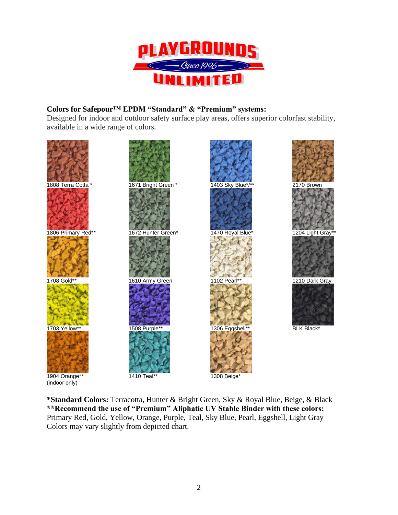

#### **Colors for Safepour™ EPDM "Standard" & "Premium" systems:**

Designed for indoor and outdoor safety surface play areas, offers superior colorfast stability, available in a wide range of colors**.** 



**\*Standard Colors:** Terracotta, Hunter & Bright Green, Sky & Royal Blue, Beige, & Black **\*\*Recommend the use of "Premium" Aliphatic UV Stable Binder with these colors:**  Primary Red, Gold, Yellow, Orange, Purple, Teal, Sky Blue, Pearl, Eggshell, Light Gray Colors may vary slightly from depicted chart.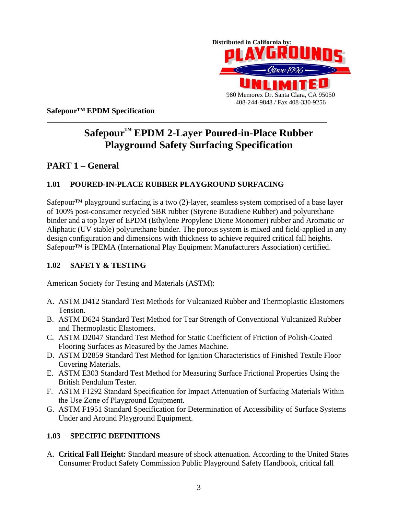

**Safepour™ EPDM Specification**

# **–––––––––––––––––––––––––––––––––––––––––––––––––––––– Safepour™ EPDM 2-Layer Poured-in-Place Rubber Playground Safety Surfacing Specification**

## **PART 1 – General**

#### **1.01 POURED-IN-PLACE RUBBER PLAYGROUND SURFACING**

Safepour<sup>TM</sup> playground surfacing is a two  $(2)$ -layer, seamless system comprised of a base layer of 100% post-consumer recycled SBR rubber (Styrene Butadiene Rubber) and polyurethane binder and a top layer of EPDM (Ethylene Propylene Diene Monomer) rubber and Aromatic or Aliphatic (UV stable) polyurethane binder. The porous system is mixed and field-applied in any design configuration and dimensions with thickness to achieve required critical fall heights. Safepour<sup>™</sup> is IPEMA (International Play Equipment Manufacturers Association) certified.

#### **1.02 SAFETY & TESTING**

American Society for Testing and Materials (ASTM):

- A. ASTM D412 Standard Test Methods for Vulcanized Rubber and Thermoplastic Elastomers Tension.
- B. ASTM D624 Standard Test Method for Tear Strength of Conventional Vulcanized Rubber and Thermoplastic Elastomers.
- C. ASTM D2047 Standard Test Method for Static Coefficient of Friction of Polish-Coated Flooring Surfaces as Measured by the James Machine.
- D. ASTM D2859 Standard Test Method for Ignition Characteristics of Finished Textile Floor Covering Materials.
- E. ASTM E303 Standard Test Method for Measuring Surface Frictional Properties Using the British Pendulum Tester.
- F. ASTM F1292 Standard Specification for Impact Attenuation of Surfacing Materials Within the Use Zone of Playground Equipment.
- G. ASTM F1951 Standard Specification for Determination of Accessibility of Surface Systems Under and Around Playground Equipment.

#### **1.03 SPECIFIC DEFINITIONS**

A. **Critical Fall Height:** Standard measure of shock attenuation. According to the United States Consumer Product Safety Commission Public Playground Safety Handbook, critical fall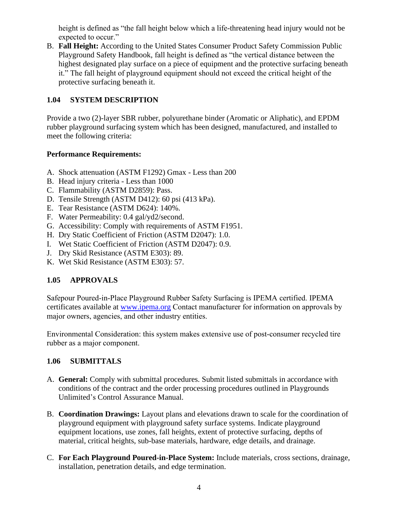height is defined as "the fall height below which a life-threatening head injury would not be expected to occur."

B. **Fall Height:** According to the United States Consumer Product Safety Commission Public Playground Safety Handbook, fall height is defined as "the vertical distance between the highest designated play surface on a piece of equipment and the protective surfacing beneath it." The fall height of playground equipment should not exceed the critical height of the protective surfacing beneath it.

#### **1.04 SYSTEM DESCRIPTION**

Provide a two (2)-layer SBR rubber, polyurethane binder (Aromatic or Aliphatic), and EPDM rubber playground surfacing system which has been designed, manufactured, and installed to meet the following criteria:

#### **Performance Requirements:**

- A. Shock attenuation (ASTM F1292) Gmax Less than 200
- B. Head injury criteria Less than 1000
- C. Flammability (ASTM D2859): Pass.
- D. Tensile Strength (ASTM D412): 60 psi (413 kPa).
- E. Tear Resistance (ASTM D624): 140%.
- F. Water Permeability: 0.4 gal/yd2/second.
- G. Accessibility: Comply with requirements of ASTM F1951.
- H. Dry Static Coefficient of Friction (ASTM D2047): 1.0.
- I. Wet Static Coefficient of Friction (ASTM D2047): 0.9.
- J. Dry Skid Resistance (ASTM E303): 89.
- K. Wet Skid Resistance (ASTM E303): 57.

#### **1.05 APPROVALS**

Safepour Poured-in-Place Playground Rubber Safety Surfacing is IPEMA certified. IPEMA certificates available at [www.ipema.org](http://www.ipema.org/) Contact manufacturer for information on approvals by major owners, agencies, and other industry entities.

Environmental Consideration: this system makes extensive use of post-consumer recycled tire rubber as a major component.

#### **1.06 SUBMITTALS**

- A. **General:** Comply with submittal procedures. Submit listed submittals in accordance with conditions of the contract and the order processing procedures outlined in Playgrounds Unlimited's Control Assurance Manual.
- B. **Coordination Drawings:** Layout plans and elevations drawn to scale for the coordination of playground equipment with playground safety surface systems. Indicate playground equipment locations, use zones, fall heights, extent of protective surfacing, depths of material, critical heights, sub-base materials, hardware, edge details, and drainage.
- C. **For Each Playground Poured-in-Place System:** Include materials, cross sections, drainage, installation, penetration details, and edge termination.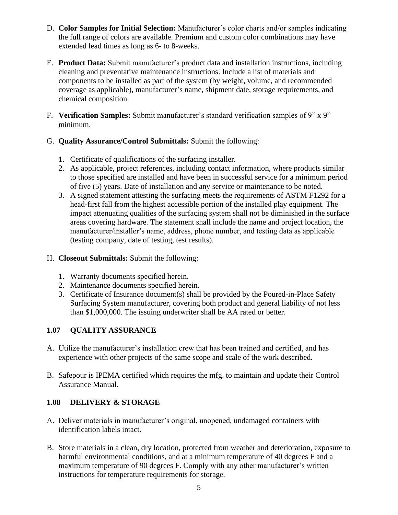- D. **Color Samples for Initial Selection:** Manufacturer's color charts and/or samples indicating the full range of colors are available. Premium and custom color combinations may have extended lead times as long as 6- to 8-weeks.
- E. **Product Data:** Submit manufacturer's product data and installation instructions, including cleaning and preventative maintenance instructions. Include a list of materials and components to be installed as part of the system (by weight, volume, and recommended coverage as applicable), manufacturer's name, shipment date, storage requirements, and chemical composition.
- F. **Verification Samples:** Submit manufacturer's standard verification samples of 9" x 9" minimum.
- G. **Quality Assurance/Control Submittals:** Submit the following:
	- 1. Certificate of qualifications of the surfacing installer.
	- 2. As applicable, project references, including contact information, where products similar to those specified are installed and have been in successful service for a minimum period of five (5) years. Date of installation and any service or maintenance to be noted.
	- 3. A signed statement attesting the surfacing meets the requirements of ASTM F1292 for a head-first fall from the highest accessible portion of the installed play equipment. The impact attenuating qualities of the surfacing system shall not be diminished in the surface areas covering hardware. The statement shall include the name and project location, the manufacturer/installer's name, address, phone number, and testing data as applicable (testing company, date of testing, test results).

#### H. **Closeout Submittals:** Submit the following:

- 1. Warranty documents specified herein.
- 2. Maintenance documents specified herein.
- 3. Certificate of Insurance document(s) shall be provided by the Poured-in-Place Safety Surfacing System manufacturer, covering both product and general liability of not less than \$1,000,000. The issuing underwriter shall be AA rated or better.

#### **1.07 QUALITY ASSURANCE**

- A. Utilize the manufacturer's installation crew that has been trained and certified, and has experience with other projects of the same scope and scale of the work described.
- B. Safepour is IPEMA certified which requires the mfg. to maintain and update their Control Assurance Manual.

#### **1.08 DELIVERY & STORAGE**

- A. Deliver materials in manufacturer's original, unopened, undamaged containers with identification labels intact.
- B. Store materials in a clean, dry location, protected from weather and deterioration, exposure to harmful environmental conditions, and at a minimum temperature of 40 degrees F and a maximum temperature of 90 degrees F. Comply with any other manufacturer's written instructions for temperature requirements for storage.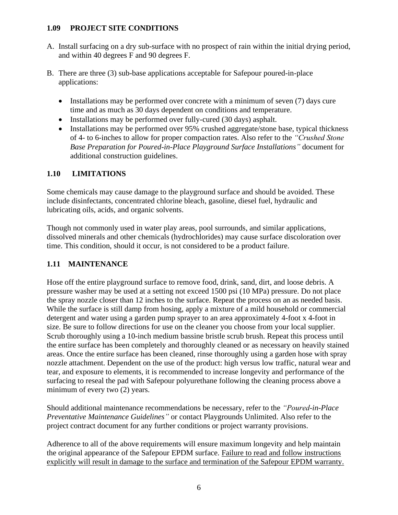#### **1.09 PROJECT SITE CONDITIONS**

- A. Install surfacing on a dry sub-surface with no prospect of rain within the initial drying period, and within 40 degrees F and 90 degrees F.
- B. There are three (3) sub-base applications acceptable for Safepour poured-in-place applications:
	- Installations may be performed over concrete with a minimum of seven (7) days cure time and as much as 30 days dependent on conditions and temperature.
	- Installations may be performed over fully-cured (30 days) asphalt.
	- Installations may be performed over 95% crushed aggregate/stone base, typical thickness of 4- to 6-inches to allow for proper compaction rates. Also refer to the *"Crushed Stone Base Preparation for Poured-in-Place Playground Surface Installations"* document for additional construction guidelines.

#### **1.10 LIMITATIONS**

Some chemicals may cause damage to the playground surface and should be avoided. These include disinfectants, concentrated chlorine bleach, gasoline, diesel fuel, hydraulic and lubricating oils, acids, and organic solvents.

Though not commonly used in water play areas, pool surrounds, and similar applications, dissolved minerals and other chemicals (hydrochlorides) may cause surface discoloration over time. This condition, should it occur, is not considered to be a product failure.

#### **1.11 MAINTENANCE**

Hose off the entire playground surface to remove food, drink, sand, dirt, and loose debris. A pressure washer may be used at a setting not exceed 1500 psi (10 MPa) pressure. Do not place the spray nozzle closer than 12 inches to the surface. Repeat the process on an as needed basis. While the surface is still damp from hosing, apply a mixture of a mild household or commercial detergent and water using a garden pump sprayer to an area approximately 4-foot x 4-foot in size. Be sure to follow directions for use on the cleaner you choose from your local supplier. Scrub thoroughly using a 10-inch medium bassine bristle scrub brush. Repeat this process until the entire surface has been completely and thoroughly cleaned or as necessary on heavily stained areas. Once the entire surface has been cleaned, rinse thoroughly using a garden hose with spray nozzle attachment. Dependent on the use of the product: high versus low traffic, natural wear and tear, and exposure to elements, it is recommended to increase longevity and performance of the surfacing to reseal the pad with Safepour polyurethane following the cleaning process above a minimum of every two (2) years.

Should additional maintenance recommendations be necessary, refer to the *"Poured-in-Place Preventative Maintenance Guidelines"* or contact Playgrounds Unlimited. Also refer to the project contract document for any further conditions or project warranty provisions.

Adherence to all of the above requirements will ensure maximum longevity and help maintain the original appearance of the Safepour EPDM surface. Failure to read and follow instructions explicitly will result in damage to the surface and termination of the Safepour EPDM warranty.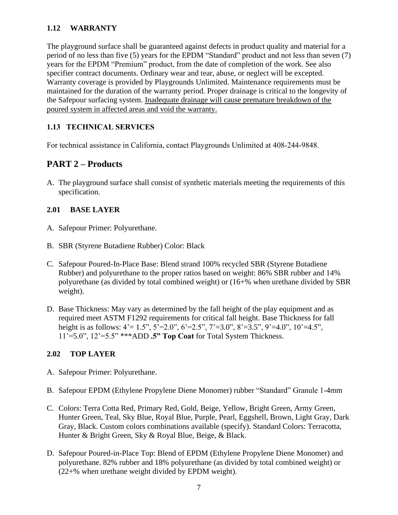#### **1.12 WARRANTY**

The playground surface shall be guaranteed against defects in product quality and material for a period of no less than five (5) years for the EPDM "Standard" product and not less than seven (7) years for the EPDM "Premium" product, from the date of completion of the work. See also specifier contract documents. Ordinary wear and tear, abuse, or neglect will be excepted. Warranty coverage is provided by Playgrounds Unlimited. Maintenance requirements must be maintained for the duration of the warranty period. Proper drainage is critical to the longevity of the Safepour surfacing system. Inadequate drainage will cause premature breakdown of the poured system in affected areas and void the warranty.

#### **1.13 TECHNICAL SERVICES**

For technical assistance in California, contact Playgrounds Unlimited at 408-244-9848.

### **PART 2 – Products**

A. The playground surface shall consist of synthetic materials meeting the requirements of this specification.

#### **2.01 BASE LAYER**

- A. Safepour Primer: Polyurethane.
- B. SBR (Styrene Butadiene Rubber) Color: Black
- C. Safepour Poured-In-Place Base: Blend strand 100% recycled SBR (Styrene Butadiene Rubber) and polyurethane to the proper ratios based on weight: 86% SBR rubber and 14% polyurethane (as divided by total combined weight) or (16+% when urethane divided by SBR weight).
- D. Base Thickness: May vary as determined by the fall height of the play equipment and as required meet ASTM F1292 requirements for critical fall height. Base Thickness for fall height is as follows:  $4' = 1.5$ ",  $5' = 2.0$ ",  $6' = 2.5$ ",  $7' = 3.0$ ",  $8' = 3.5$ ",  $9' = 4.0$ ",  $10' = 4.5$ ", 11'=5.0", 12'=5.5" \*\*\*ADD **.5" Top Coat** for Total System Thickness.

#### **2.02 TOP LAYER**

- A. Safepour Primer: Polyurethane.
- B. Safepour EPDM (Ethylene Propylene Diene Monomer) rubber "Standard" Granule 1-4mm
- C. Colors: Terra Cotta Red, Primary Red, Gold, Beige, Yellow, Bright Green, Army Green, Hunter Green, Teal, Sky Blue, Royal Blue, Purple, Pearl, Eggshell, Brown, Light Gray, Dark Gray, Black. Custom colors combinations available (specify). Standard Colors: Terracotta, Hunter & Bright Green, Sky & Royal Blue, Beige, & Black.
- D. Safepour Poured-in-Place Top: Blend of EPDM (Ethylene Propylene Diene Monomer) and polyurethane. 82% rubber and 18% polyurethane (as divided by total combined weight) or (22+% when urethane weight divided by EPDM weight).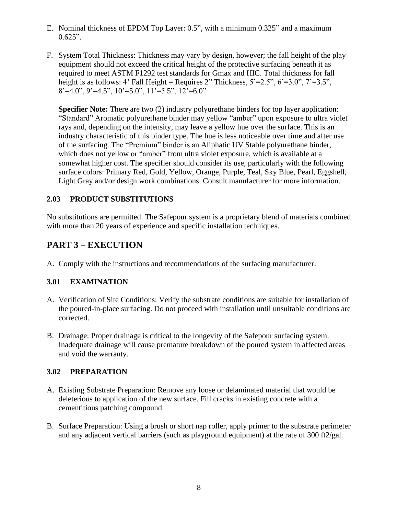- E. Nominal thickness of EPDM Top Layer: 0.5", with a minimum 0.325" and a maximum  $0.625$ ".
- F. System Total Thickness: Thickness may vary by design, however; the fall height of the play equipment should not exceed the critical height of the protective surfacing beneath it as required to meet ASTM F1292 test standards for Gmax and HIC. Total thickness for fall height is as follows: 4' Fall Height = Requires 2" Thickness,  $5'=2.5"$ ,  $6'=3.0"$ ,  $7'=3.5"$ ,  $8' = 4.0$ ",  $9' = 4.5$ ",  $10' = 5.0$ ",  $11' = 5.5$ ",  $12' = 6.0$ "

**Specifier Note:** There are two (2) industry polyurethane binders for top layer application: "Standard" Aromatic polyurethane binder may yellow "amber" upon exposure to ultra violet rays and, depending on the intensity, may leave a yellow hue over the surface. This is an industry characteristic of this binder type. The hue is less noticeable over time and after use of the surfacing. The "Premium" binder is an Aliphatic UV Stable polyurethane binder, which does not yellow or "amber" from ultra violet exposure, which is available at a somewhat higher cost. The specifier should consider its use, particularly with the following surface colors: Primary Red, Gold, Yellow, Orange, Purple, Teal, Sky Blue, Pearl, Eggshell, Light Gray and/or design work combinations. Consult manufacturer for more information.

#### **2.03 PRODUCT SUBSTITUTIONS**

No substitutions are permitted. The Safepour system is a proprietary blend of materials combined with more than 20 years of experience and specific installation techniques.

# **PART 3 – EXECUTION**

A. Comply with the instructions and recommendations of the surfacing manufacturer.

#### **3.01 EXAMINATION**

- A. Verification of Site Conditions: Verify the substrate conditions are suitable for installation of the poured-in-place surfacing. Do not proceed with installation until unsuitable conditions are corrected.
- B. Drainage: Proper drainage is critical to the longevity of the Safepour surfacing system. Inadequate drainage will cause premature breakdown of the poured system in affected areas and void the warranty.

#### **3.02 PREPARATION**

- A. Existing Substrate Preparation: Remove any loose or delaminated material that would be deleterious to application of the new surface. Fill cracks in existing concrete with a cementitious patching compound.
- B. Surface Preparation: Using a brush or short nap roller, apply primer to the substrate perimeter and any adjacent vertical barriers (such as playground equipment) at the rate of 300 ft2/gal.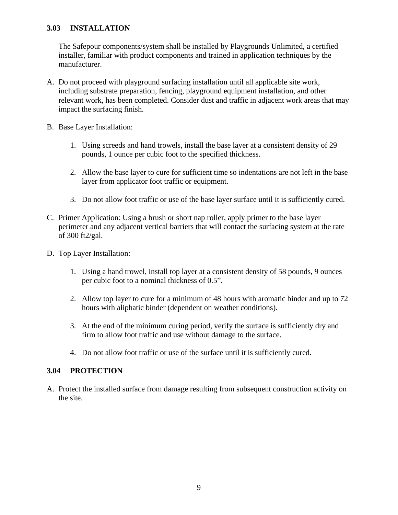#### **3.03 INSTALLATION**

The Safepour components/system shall be installed by Playgrounds Unlimited, a certified installer, familiar with product components and trained in application techniques by the manufacturer.

- A. Do not proceed with playground surfacing installation until all applicable site work, including substrate preparation, fencing, playground equipment installation, and other relevant work, has been completed. Consider dust and traffic in adjacent work areas that may impact the surfacing finish.
- B. Base Layer Installation:
	- 1. Using screeds and hand trowels, install the base layer at a consistent density of 29 pounds, 1 ounce per cubic foot to the specified thickness.
	- 2. Allow the base layer to cure for sufficient time so indentations are not left in the base layer from applicator foot traffic or equipment.
	- 3. Do not allow foot traffic or use of the base layer surface until it is sufficiently cured.
- C. Primer Application: Using a brush or short nap roller, apply primer to the base layer perimeter and any adjacent vertical barriers that will contact the surfacing system at the rate of 300 ft2/gal.
- D. Top Layer Installation:
	- 1. Using a hand trowel, install top layer at a consistent density of 58 pounds, 9 ounces per cubic foot to a nominal thickness of 0.5".
	- 2. Allow top layer to cure for a minimum of 48 hours with aromatic binder and up to 72 hours with aliphatic binder (dependent on weather conditions).
	- 3. At the end of the minimum curing period, verify the surface is sufficiently dry and firm to allow foot traffic and use without damage to the surface.
	- 4. Do not allow foot traffic or use of the surface until it is sufficiently cured.

#### **3.04 PROTECTION**

A. Protect the installed surface from damage resulting from subsequent construction activity on the site.